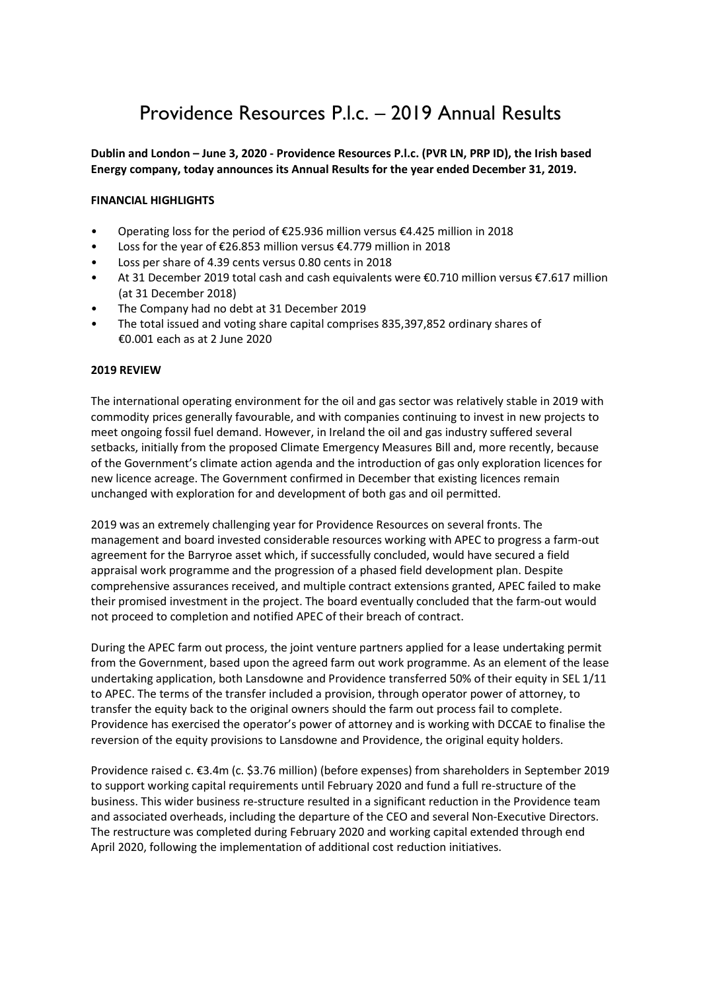# Providence Resources P.l.c. – 2019 Annual Results

#### Dublin and London – June 3, 2020 - Providence Resources P.l.c. (PVR LN, PRP ID), the Irish based Energy company, today announces its Annual Results for the year ended December 31, 2019.

### FINANCIAL HIGHLIGHTS

- Operating loss for the period of €25.936 million versus €4.425 million in 2018
- Loss for the year of €26.853 million versus €4.779 million in 2018
- Loss per share of 4.39 cents versus 0.80 cents in 2018
- At 31 December 2019 total cash and cash equivalents were €0.710 million versus €7.617 million (at 31 December 2018)
- The Company had no debt at 31 December 2019
- The total issued and voting share capital comprises 835,397,852 ordinary shares of €0.001 each as at 2 June 2020

#### 2019 REVIEW

The international operating environment for the oil and gas sector was relatively stable in 2019 with commodity prices generally favourable, and with companies continuing to invest in new projects to meet ongoing fossil fuel demand. However, in Ireland the oil and gas industry suffered several setbacks, initially from the proposed Climate Emergency Measures Bill and, more recently, because of the Government's climate action agenda and the introduction of gas only exploration licences for new licence acreage. The Government confirmed in December that existing licences remain unchanged with exploration for and development of both gas and oil permitted.

2019 was an extremely challenging year for Providence Resources on several fronts. The management and board invested considerable resources working with APEC to progress a farm-out agreement for the Barryroe asset which, if successfully concluded, would have secured a field appraisal work programme and the progression of a phased field development plan. Despite comprehensive assurances received, and multiple contract extensions granted, APEC failed to make their promised investment in the project. The board eventually concluded that the farm-out would not proceed to completion and notified APEC of their breach of contract.

During the APEC farm out process, the joint venture partners applied for a lease undertaking permit from the Government, based upon the agreed farm out work programme. As an element of the lease undertaking application, both Lansdowne and Providence transferred 50% of their equity in SEL 1/11 to APEC. The terms of the transfer included a provision, through operator power of attorney, to transfer the equity back to the original owners should the farm out process fail to complete. Providence has exercised the operator's power of attorney and is working with DCCAE to finalise the reversion of the equity provisions to Lansdowne and Providence, the original equity holders.

Providence raised c. €3.4m (c. \$3.76 million) (before expenses) from shareholders in September 2019 to support working capital requirements until February 2020 and fund a full re-structure of the business. This wider business re-structure resulted in a significant reduction in the Providence team and associated overheads, including the departure of the CEO and several Non-Executive Directors. The restructure was completed during February 2020 and working capital extended through end April 2020, following the implementation of additional cost reduction initiatives.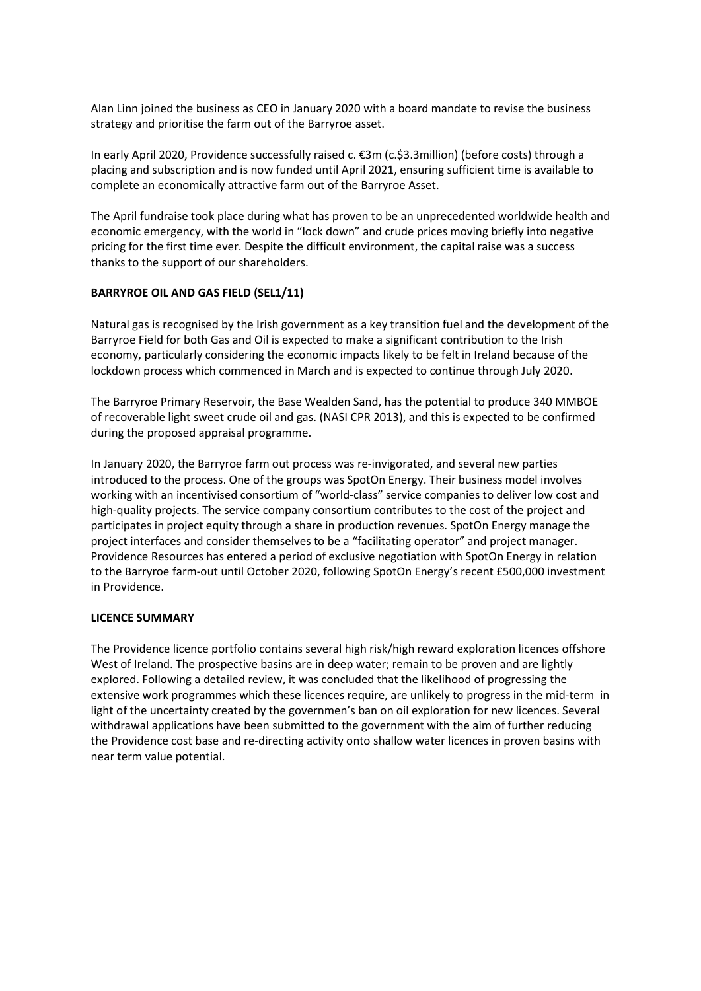Alan Linn joined the business as CEO in January 2020 with a board mandate to revise the business strategy and prioritise the farm out of the Barryroe asset.

In early April 2020, Providence successfully raised c. €3m (c.\$3.3million) (before costs) through a placing and subscription and is now funded until April 2021, ensuring sufficient time is available to complete an economically attractive farm out of the Barryroe Asset.

The April fundraise took place during what has proven to be an unprecedented worldwide health and economic emergency, with the world in "lock down" and crude prices moving briefly into negative pricing for the first time ever. Despite the difficult environment, the capital raise was a success thanks to the support of our shareholders.

#### BARRYROE OIL AND GAS FIELD (SEL1/11)

Natural gas is recognised by the Irish government as a key transition fuel and the development of the Barryroe Field for both Gas and Oil is expected to make a significant contribution to the Irish economy, particularly considering the economic impacts likely to be felt in Ireland because of the lockdown process which commenced in March and is expected to continue through July 2020.

The Barryroe Primary Reservoir, the Base Wealden Sand, has the potential to produce 340 MMBOE of recoverable light sweet crude oil and gas. (NASI CPR 2013), and this is expected to be confirmed during the proposed appraisal programme.

In January 2020, the Barryroe farm out process was re-invigorated, and several new parties introduced to the process. One of the groups was SpotOn Energy. Their business model involves working with an incentivised consortium of "world-class" service companies to deliver low cost and high-quality projects. The service company consortium contributes to the cost of the project and participates in project equity through a share in production revenues. SpotOn Energy manage the project interfaces and consider themselves to be a "facilitating operator" and project manager. Providence Resources has entered a period of exclusive negotiation with SpotOn Energy in relation to the Barryroe farm-out until October 2020, following SpotOn Energy's recent £500,000 investment in Providence.

#### LICENCE SUMMARY

The Providence licence portfolio contains several high risk/high reward exploration licences offshore West of Ireland. The prospective basins are in deep water; remain to be proven and are lightly explored. Following a detailed review, it was concluded that the likelihood of progressing the extensive work programmes which these licences require, are unlikely to progress in the mid-term in light of the uncertainty created by the governmen's ban on oil exploration for new licences. Several withdrawal applications have been submitted to the government with the aim of further reducing the Providence cost base and re-directing activity onto shallow water licences in proven basins with near term value potential.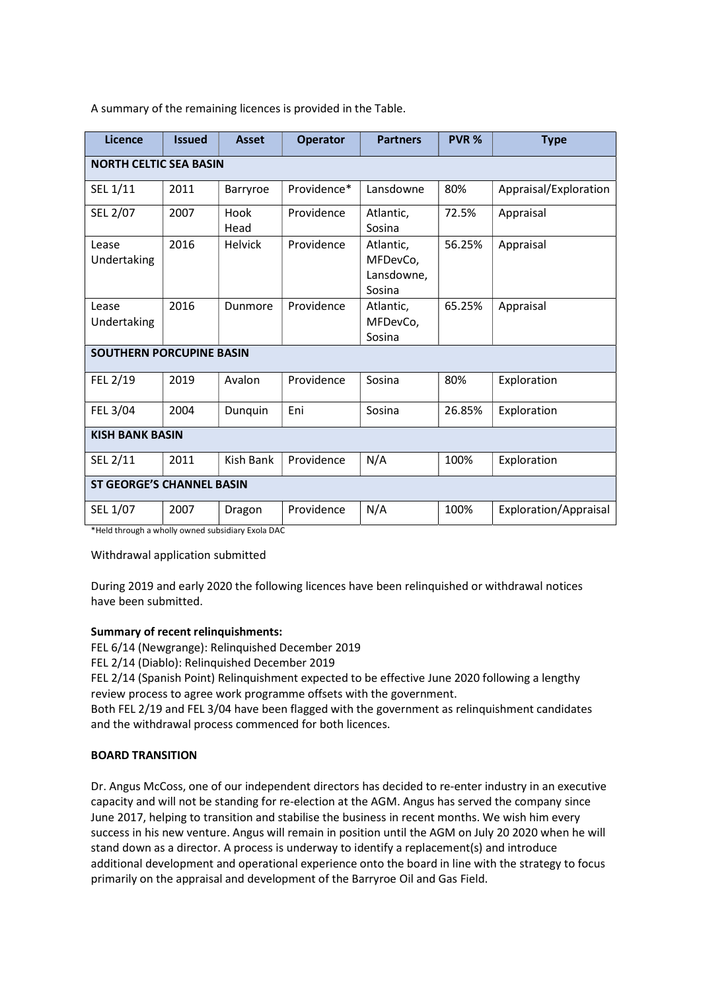| Licence                                                       | <b>Issued</b> | <b>Asset</b>   | <b>Operator</b> | <b>Partners</b>                               | PVR %  | <b>Type</b>           |  |
|---------------------------------------------------------------|---------------|----------------|-----------------|-----------------------------------------------|--------|-----------------------|--|
| <b>NORTH CELTIC SEA BASIN</b>                                 |               |                |                 |                                               |        |                       |  |
| SEL 1/11                                                      | 2011          | Barryroe       | Providence*     | Lansdowne                                     | 80%    | Appraisal/Exploration |  |
| SEL 2/07                                                      | 2007          | Hook<br>Head   | Providence      | Atlantic,<br>Sosina                           | 72.5%  | Appraisal             |  |
| Lease<br>Undertaking                                          | 2016          | <b>Helvick</b> | Providence      | Atlantic,<br>MFDevCo,<br>Lansdowne,<br>Sosina | 56.25% | Appraisal             |  |
| Lease<br>Undertaking                                          | 2016          | Dunmore        | Providence      | Atlantic,<br>MFDevCo,<br>Sosina               | 65.25% | Appraisal             |  |
| <b>SOUTHERN PORCUPINE BASIN</b>                               |               |                |                 |                                               |        |                       |  |
| FEL 2/19                                                      | 2019          | Avalon         | Providence      | Sosina                                        | 80%    | Exploration           |  |
| FEL 3/04                                                      | 2004          | Dunquin        | Eni             | Sosina                                        | 26.85% | Exploration           |  |
| <b>KISH BANK BASIN</b>                                        |               |                |                 |                                               |        |                       |  |
| SEL 2/11                                                      | 2011          | Kish Bank      | Providence      | N/A                                           | 100%   | Exploration           |  |
| <b>ST GEORGE'S CHANNEL BASIN</b>                              |               |                |                 |                                               |        |                       |  |
| SEL 1/07<br>*Hold through a wholly owned subsidiary Evola DAC | 2007          | Dragon         | Providence      | N/A                                           | 100%   | Exploration/Appraisal |  |

A summary of the remaining licences is provided in the Table.

\*Held through a wholly owned subsidiary Exola DAC

Withdrawal application submitted

During 2019 and early 2020 the following licences have been relinquished or withdrawal notices have been submitted.

#### Summary of recent relinquishments:

FEL 6/14 (Newgrange): Relinquished December 2019

FEL 2/14 (Diablo): Relinquished December 2019

FEL 2/14 (Spanish Point) Relinquishment expected to be effective June 2020 following a lengthy review process to agree work programme offsets with the government.

Both FEL 2/19 and FEL 3/04 have been flagged with the government as relinquishment candidates and the withdrawal process commenced for both licences.

#### BOARD TRANSITION

Dr. Angus McCoss, one of our independent directors has decided to re-enter industry in an executive capacity and will not be standing for re-election at the AGM. Angus has served the company since June 2017, helping to transition and stabilise the business in recent months. We wish him every success in his new venture. Angus will remain in position until the AGM on July 20 2020 when he will stand down as a director. A process is underway to identify a replacement(s) and introduce additional development and operational experience onto the board in line with the strategy to focus primarily on the appraisal and development of the Barryroe Oil and Gas Field.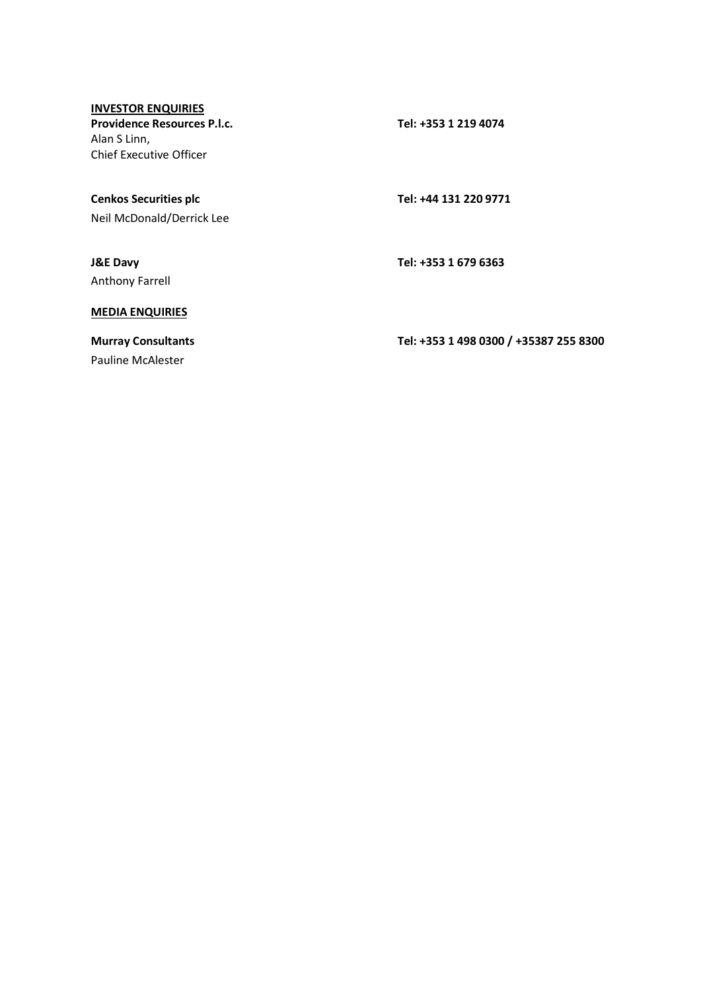### INVESTOR ENQUIRIES

Providence Resources P.l.c. Tel: +353 1 219 4074 Alan S Linn, Chief Executive Officer

# Cenkos Securities plc Tel: +44 131 220 9771

Neil McDonald/Derrick Lee

Anthony Farrell

#### J&E Davy Tel: +353 1 679 6363

### MEDIA ENQUIRIES

Pauline McAlester

Murray Consultants Tel: +353 1 498 0300 / +35387 255 8300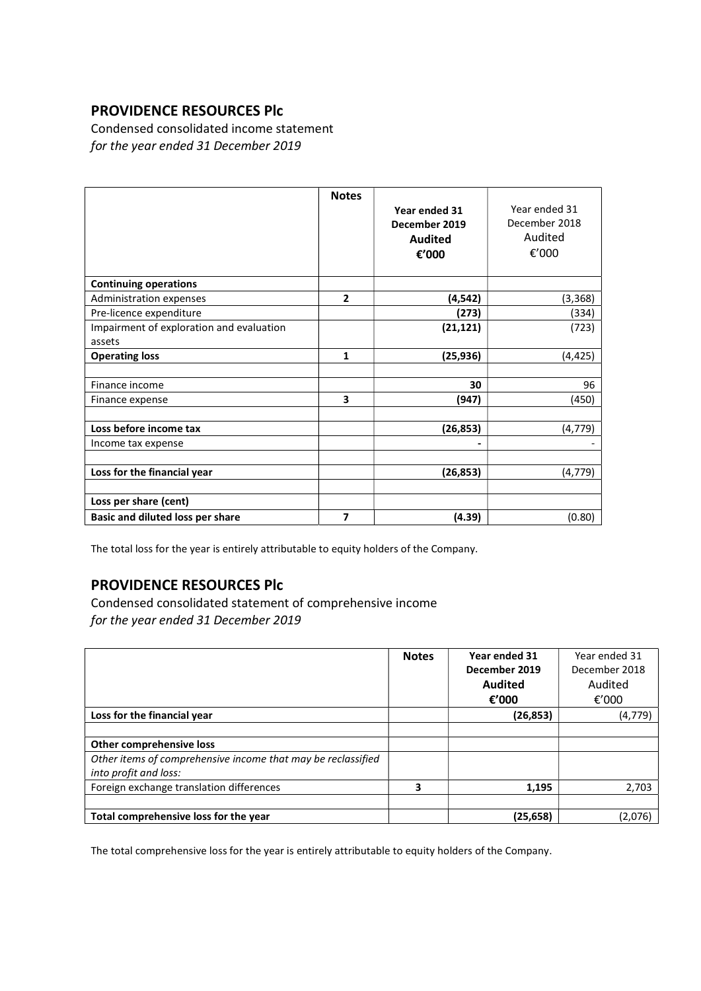Condensed consolidated income statement for the year ended 31 December 2019

|                                          | <b>Notes</b>   | Year ended 31<br>December 2019<br><b>Audited</b><br>€'000 | Year ended 31<br>December 2018<br>Audited<br>€'000 |
|------------------------------------------|----------------|-----------------------------------------------------------|----------------------------------------------------|
| <b>Continuing operations</b>             |                |                                                           |                                                    |
| Administration expenses                  | $\overline{2}$ | (4, 542)                                                  | (3, 368)                                           |
| Pre-licence expenditure                  |                | (273)                                                     | (334)                                              |
| Impairment of exploration and evaluation |                | (21, 121)                                                 | (723)                                              |
| assets                                   |                |                                                           |                                                    |
| <b>Operating loss</b>                    | 1              | (25, 936)                                                 | (4, 425)                                           |
|                                          |                |                                                           |                                                    |
| Finance income                           |                | 30                                                        | 96                                                 |
| Finance expense                          | 3              | (947)                                                     | (450)                                              |
|                                          |                |                                                           |                                                    |
| Loss before income tax                   |                | (26, 853)                                                 | (4, 779)                                           |
| Income tax expense                       |                |                                                           |                                                    |
|                                          |                |                                                           |                                                    |
| Loss for the financial year              |                | (26, 853)                                                 | (4, 779)                                           |
|                                          |                |                                                           |                                                    |
| Loss per share (cent)                    |                |                                                           |                                                    |
| Basic and diluted loss per share         | 7              | (4.39)                                                    | (0.80)                                             |

The total loss for the year is entirely attributable to equity holders of the Company.

# PROVIDENCE RESOURCES Plc

Condensed consolidated statement of comprehensive income for the year ended 31 December 2019

|                                                                                                                   | <b>Notes</b> | Year ended 31<br>December 2019<br><b>Audited</b><br>€'000 | Year ended 31<br>December 2018<br>Audited<br>€ $'000$ |
|-------------------------------------------------------------------------------------------------------------------|--------------|-----------------------------------------------------------|-------------------------------------------------------|
| Loss for the financial year                                                                                       |              | (26, 853)                                                 | (4, 779)                                              |
| Other comprehensive loss<br>Other items of comprehensive income that may be reclassified<br>into profit and loss: |              |                                                           |                                                       |
| Foreign exchange translation differences                                                                          | 3            | 1.195                                                     | 2,703                                                 |
| Total comprehensive loss for the year                                                                             |              | (25, 658)                                                 | (2,076)                                               |

The total comprehensive loss for the year is entirely attributable to equity holders of the Company.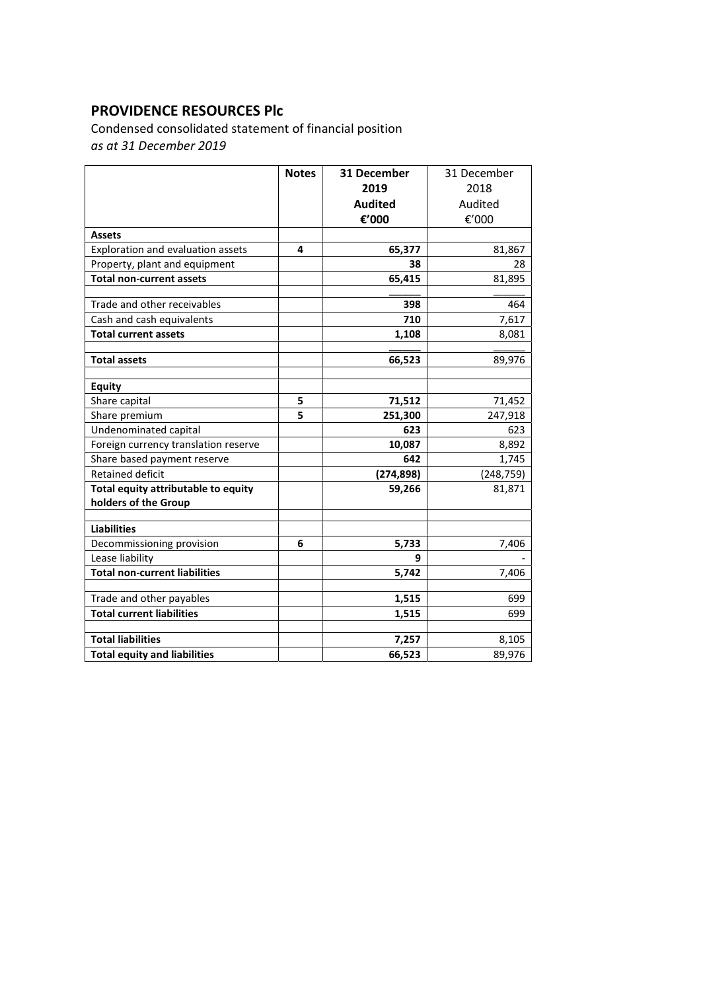Condensed consolidated statement of financial position as at 31 December 2019

|                                      | <b>Notes</b> | 31 December    | 31 December |
|--------------------------------------|--------------|----------------|-------------|
|                                      |              | 2019           | 2018        |
|                                      |              | <b>Audited</b> | Audited     |
|                                      |              | €'000          | €'000       |
| <b>Assets</b>                        |              |                |             |
| Exploration and evaluation assets    | 4            | 65,377         | 81,867      |
| Property, plant and equipment        |              | 38             | 28          |
| <b>Total non-current assets</b>      |              | 65,415         | 81,895      |
|                                      |              |                |             |
| Trade and other receivables          |              | 398            | 464         |
| Cash and cash equivalents            |              | 710            | 7,617       |
| <b>Total current assets</b>          |              | 1,108          | 8,081       |
|                                      |              |                |             |
| <b>Total assets</b>                  |              | 66,523         | 89,976      |
| <b>Equity</b>                        |              |                |             |
| Share capital                        | 5            | 71,512         | 71,452      |
| Share premium                        | 5            | 251,300        | 247,918     |
| Undenominated capital                |              | 623            | 623         |
| Foreign currency translation reserve |              | 10,087         | 8,892       |
| Share based payment reserve          |              | 642            | 1,745       |
| <b>Retained deficit</b>              |              | (274, 898)     | (248, 759)  |
| Total equity attributable to equity  |              | 59,266         | 81,871      |
| holders of the Group                 |              |                |             |
|                                      |              |                |             |
| <b>Liabilities</b>                   |              |                |             |
| Decommissioning provision            | 6            | 5,733          | 7,406       |
| Lease liability                      |              | 9              |             |
| <b>Total non-current liabilities</b> |              | 5,742          | 7,406       |
| Trade and other payables             |              | 1,515          | 699         |
| <b>Total current liabilities</b>     |              | 1,515          | 699         |
|                                      |              |                |             |
| <b>Total liabilities</b>             |              | 7,257          | 8,105       |
| <b>Total equity and liabilities</b>  |              | 66,523         | 89,976      |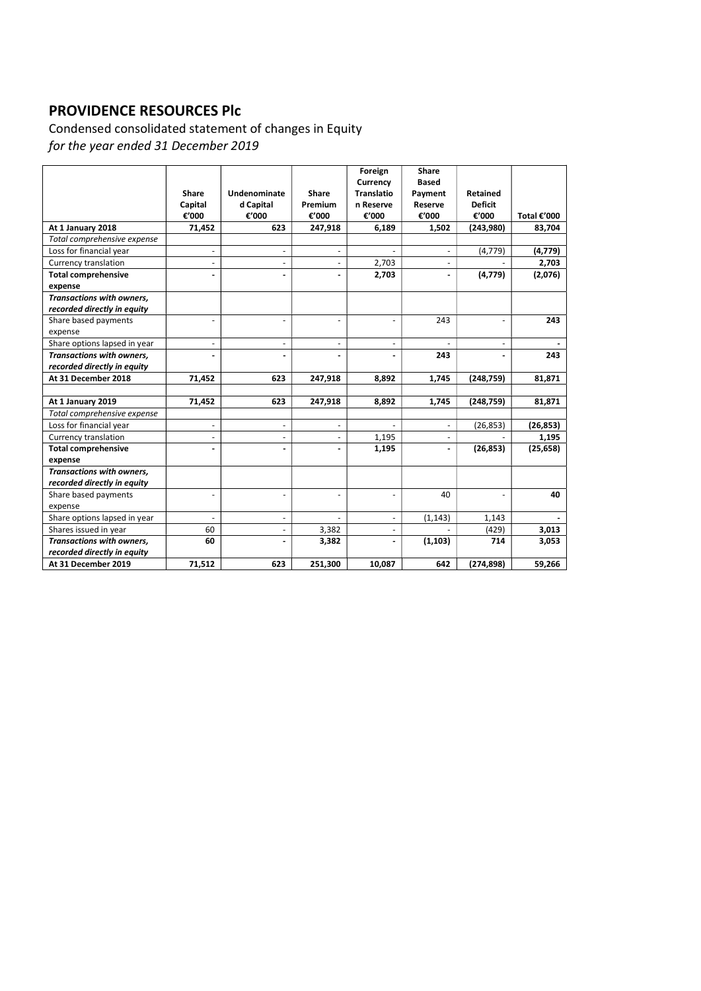Condensed consolidated statement of changes in Equity for the year ended 31 December 2019

|                                  |                          |                          |                          | Foreign<br>Currency | <b>Share</b><br>Based |                |             |
|----------------------------------|--------------------------|--------------------------|--------------------------|---------------------|-----------------------|----------------|-------------|
|                                  | Share                    | Undenominate             | Share                    | <b>Translatio</b>   | Payment               | Retained       |             |
|                                  | Capital                  | d Capital                | Premium                  | n Reserve           | Reserve               | <b>Deficit</b> |             |
|                                  | €'000                    | €'000                    | €'000                    | €'000               | €'000                 | €'000          | Total €'000 |
| At 1 January 2018                | 71,452                   | 623                      | 247,918                  | 6,189               | 1,502                 | (243,980)      | 83,704      |
| Total comprehensive expense      |                          |                          |                          |                     |                       |                |             |
| Loss for financial year          | $\blacksquare$           | $\overline{\phantom{a}}$ | $\overline{\phantom{a}}$ |                     |                       | (4, 779)       | (4, 779)    |
| Currency translation             | -                        | $\overline{\phantom{a}}$ | $\overline{\phantom{a}}$ | 2,703               |                       |                | 2,703       |
| <b>Total comprehensive</b>       |                          | $\blacksquare$           | $\frac{1}{2}$            | 2,703               |                       | (4, 779)       | (2,076)     |
| expense                          |                          |                          |                          |                     |                       |                |             |
| Transactions with owners,        |                          |                          |                          |                     |                       |                |             |
| recorded directly in equity      |                          |                          |                          |                     |                       |                |             |
| Share based payments             | $\blacksquare$           | $\blacksquare$           | ÷                        |                     | 243                   |                | 243         |
| expense                          |                          |                          |                          |                     |                       |                |             |
| Share options lapsed in year     | $\blacksquare$           | $\overline{\phantom{a}}$ | $\overline{\phantom{a}}$ |                     |                       |                |             |
| Transactions with owners,        |                          |                          |                          |                     | 243                   |                | 243         |
| recorded directly in equity      |                          |                          |                          |                     |                       |                |             |
| At 31 December 2018              | 71,452                   | 623                      | 247,918                  | 8,892               | 1,745                 | (248, 759)     | 81,871      |
|                                  |                          |                          |                          |                     |                       |                |             |
| At 1 January 2019                | 71,452                   | 623                      | 247,918                  | 8,892               | 1,745                 | (248, 759)     | 81,871      |
| Total comprehensive expense      |                          |                          |                          |                     |                       |                |             |
| Loss for financial year          | $\overline{\phantom{a}}$ | $\overline{\phantom{a}}$ | $\overline{\phantom{a}}$ |                     |                       | (26, 853)      | (26, 853)   |
| Currency translation             | L.                       | $\overline{\phantom{a}}$ | $\blacksquare$           | 1,195               |                       |                | 1,195       |
| <b>Total comprehensive</b>       | $\blacksquare$           | $\blacksquare$           | $\blacksquare$           | 1,195               |                       | (26, 853)      | (25, 658)   |
| expense                          |                          |                          |                          |                     |                       |                |             |
| <b>Transactions with owners.</b> |                          |                          |                          |                     |                       |                |             |
| recorded directly in equity      |                          |                          |                          |                     |                       |                |             |
| Share based payments             | $\overline{\phantom{a}}$ | ä,                       | ä,                       | ä,                  | 40                    |                | 40          |
| expense                          |                          |                          |                          |                     |                       |                |             |
| Share options lapsed in year     |                          | $\overline{\phantom{a}}$ |                          | ä,                  | (1, 143)              | 1,143          |             |
| Shares issued in year            | 60                       | $\overline{\phantom{a}}$ | 3,382                    | L.                  |                       | (429)          | 3,013       |
| <b>Transactions with owners.</b> | 60                       | $\overline{a}$           | 3,382                    | $\overline{a}$      | (1, 103)              | 714            | 3,053       |
| recorded directly in equity      |                          |                          |                          |                     |                       |                |             |
| At 31 December 2019              | 71,512                   | 623                      | 251,300                  | 10,087              | 642                   | (274, 898)     | 59,266      |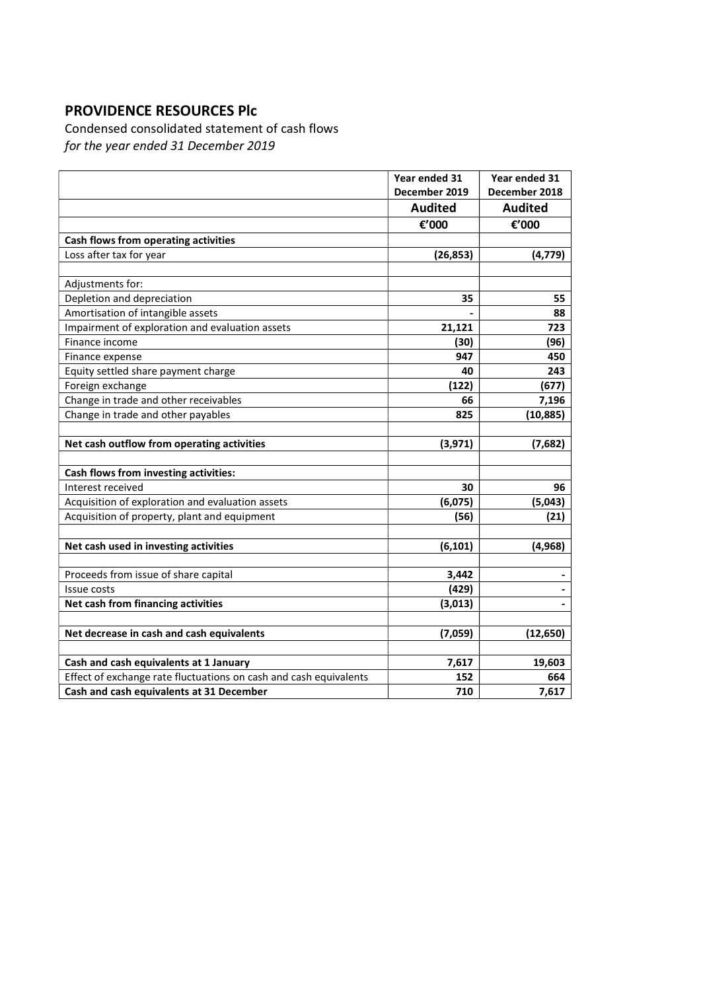Condensed consolidated statement of cash flows for the year ended 31 December 2019

|                                                                   | Year ended 31  | Year ended 31  |
|-------------------------------------------------------------------|----------------|----------------|
|                                                                   | December 2019  | December 2018  |
|                                                                   | <b>Audited</b> | <b>Audited</b> |
|                                                                   | €'000          | €'000          |
| Cash flows from operating activities                              |                |                |
| Loss after tax for year                                           | (26, 853)      | (4, 779)       |
|                                                                   |                |                |
| Adjustments for:                                                  |                |                |
| Depletion and depreciation                                        | 35             | 55             |
| Amortisation of intangible assets                                 |                | 88             |
| Impairment of exploration and evaluation assets                   | 21,121         | 723            |
| Finance income                                                    | (30)           | (96)           |
| Finance expense                                                   | 947            | 450            |
| Equity settled share payment charge                               | 40             | 243            |
| Foreign exchange                                                  | (122)          | (677)          |
| Change in trade and other receivables                             | 66             | 7,196          |
| Change in trade and other payables                                | 825            | (10, 885)      |
|                                                                   |                |                |
| Net cash outflow from operating activities                        | (3, 971)       | (7,682)        |
|                                                                   |                |                |
| Cash flows from investing activities:                             |                |                |
| Interest received                                                 | 30             | 96             |
| Acquisition of exploration and evaluation assets                  | (6,075)        | (5,043)        |
| Acquisition of property, plant and equipment                      | (56)           | (21)           |
|                                                                   |                |                |
| Net cash used in investing activities                             | (6, 101)       | (4, 968)       |
|                                                                   |                |                |
| Proceeds from issue of share capital                              | 3,442          |                |
| Issue costs                                                       | (429)          |                |
| Net cash from financing activities                                | (3,013)        |                |
|                                                                   |                |                |
| Net decrease in cash and cash equivalents                         | (7,059)        | (12, 650)      |
|                                                                   |                |                |
| Cash and cash equivalents at 1 January                            | 7,617          | 19,603         |
| Effect of exchange rate fluctuations on cash and cash equivalents | 152            | 664            |
| Cash and cash equivalents at 31 December                          | 710            | 7,617          |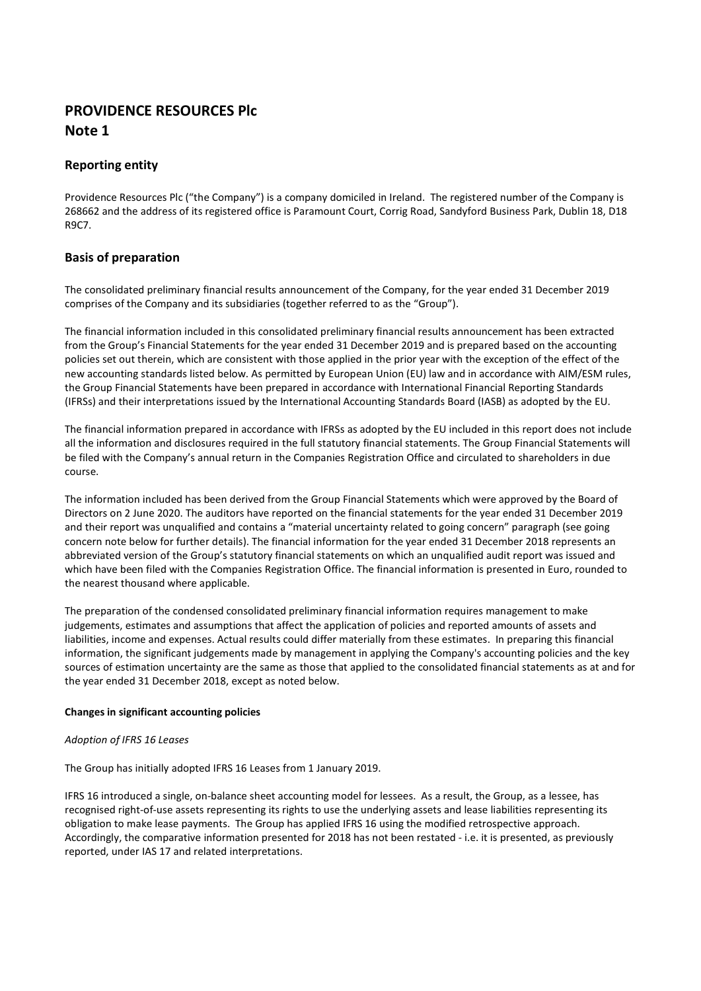### Reporting entity

Providence Resources Plc ("the Company") is a company domiciled in Ireland. The registered number of the Company is 268662 and the address of its registered office is Paramount Court, Corrig Road, Sandyford Business Park, Dublin 18, D18 R9C7.

### Basis of preparation

The consolidated preliminary financial results announcement of the Company, for the year ended 31 December 2019 comprises of the Company and its subsidiaries (together referred to as the "Group").

The financial information included in this consolidated preliminary financial results announcement has been extracted from the Group's Financial Statements for the year ended 31 December 2019 and is prepared based on the accounting policies set out therein, which are consistent with those applied in the prior year with the exception of the effect of the new accounting standards listed below. As permitted by European Union (EU) law and in accordance with AIM/ESM rules, the Group Financial Statements have been prepared in accordance with International Financial Reporting Standards (IFRSs) and their interpretations issued by the International Accounting Standards Board (IASB) as adopted by the EU.

The financial information prepared in accordance with IFRSs as adopted by the EU included in this report does not include all the information and disclosures required in the full statutory financial statements. The Group Financial Statements will be filed with the Company's annual return in the Companies Registration Office and circulated to shareholders in due course.

The information included has been derived from the Group Financial Statements which were approved by the Board of Directors on 2 June 2020. The auditors have reported on the financial statements for the year ended 31 December 2019 and their report was unqualified and contains a "material uncertainty related to going concern" paragraph (see going concern note below for further details). The financial information for the year ended 31 December 2018 represents an abbreviated version of the Group's statutory financial statements on which an unqualified audit report was issued and which have been filed with the Companies Registration Office. The financial information is presented in Euro, rounded to the nearest thousand where applicable.

The preparation of the condensed consolidated preliminary financial information requires management to make judgements, estimates and assumptions that affect the application of policies and reported amounts of assets and liabilities, income and expenses. Actual results could differ materially from these estimates. In preparing this financial information, the significant judgements made by management in applying the Company's accounting policies and the key sources of estimation uncertainty are the same as those that applied to the consolidated financial statements as at and for the year ended 31 December 2018, except as noted below.

#### Changes in significant accounting policies

#### Adoption of IFRS 16 Leases

The Group has initially adopted IFRS 16 Leases from 1 January 2019.

IFRS 16 introduced a single, on-balance sheet accounting model for lessees. As a result, the Group, as a lessee, has recognised right-of-use assets representing its rights to use the underlying assets and lease liabilities representing its obligation to make lease payments. The Group has applied IFRS 16 using the modified retrospective approach. Accordingly, the comparative information presented for 2018 has not been restated - i.e. it is presented, as previously reported, under IAS 17 and related interpretations.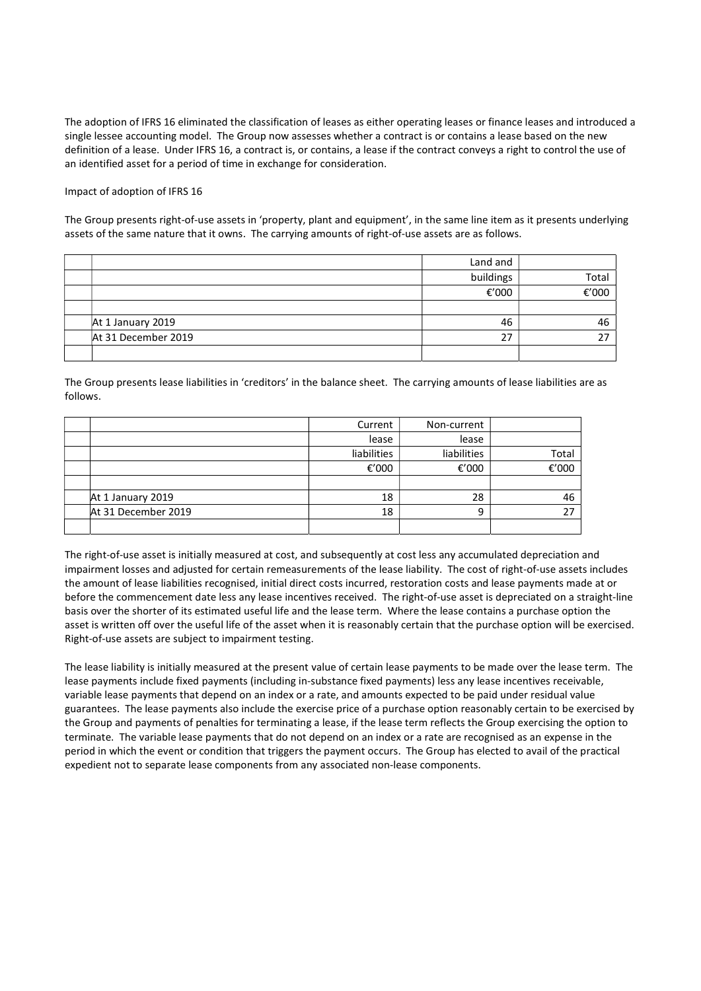The adoption of IFRS 16 eliminated the classification of leases as either operating leases or finance leases and introduced a single lessee accounting model. The Group now assesses whether a contract is or contains a lease based on the new definition of a lease. Under IFRS 16, a contract is, or contains, a lease if the contract conveys a right to control the use of an identified asset for a period of time in exchange for consideration.

#### Impact of adoption of IFRS 16

The Group presents right-of-use assets in 'property, plant and equipment', in the same line item as it presents underlying assets of the same nature that it owns. The carrying amounts of right-of-use assets are as follows.

|                     | Land and  |       |
|---------------------|-----------|-------|
|                     | buildings | Total |
|                     | €'000     | €'000 |
|                     |           |       |
| At 1 January 2019   | 46        | 46    |
| At 31 December 2019 | 27        | 27    |
|                     |           |       |

The Group presents lease liabilities in 'creditors' in the balance sheet. The carrying amounts of lease liabilities are as follows.

|                     | Current     | Non-current |       |
|---------------------|-------------|-------------|-------|
|                     | lease       | lease       |       |
|                     | liabilities | liabilities | Total |
|                     | €'000       | €'000       | €'000 |
|                     |             |             |       |
| At 1 January 2019   | 18          | 28          | 46    |
| At 31 December 2019 | 18          | 9           |       |
|                     |             |             |       |

The right-of-use asset is initially measured at cost, and subsequently at cost less any accumulated depreciation and impairment losses and adjusted for certain remeasurements of the lease liability. The cost of right-of-use assets includes the amount of lease liabilities recognised, initial direct costs incurred, restoration costs and lease payments made at or before the commencement date less any lease incentives received. The right-of-use asset is depreciated on a straight-line basis over the shorter of its estimated useful life and the lease term. Where the lease contains a purchase option the asset is written off over the useful life of the asset when it is reasonably certain that the purchase option will be exercised. Right-of-use assets are subject to impairment testing.

The lease liability is initially measured at the present value of certain lease payments to be made over the lease term. The lease payments include fixed payments (including in-substance fixed payments) less any lease incentives receivable, variable lease payments that depend on an index or a rate, and amounts expected to be paid under residual value guarantees. The lease payments also include the exercise price of a purchase option reasonably certain to be exercised by the Group and payments of penalties for terminating a lease, if the lease term reflects the Group exercising the option to terminate. The variable lease payments that do not depend on an index or a rate are recognised as an expense in the period in which the event or condition that triggers the payment occurs. The Group has elected to avail of the practical expedient not to separate lease components from any associated non-lease components.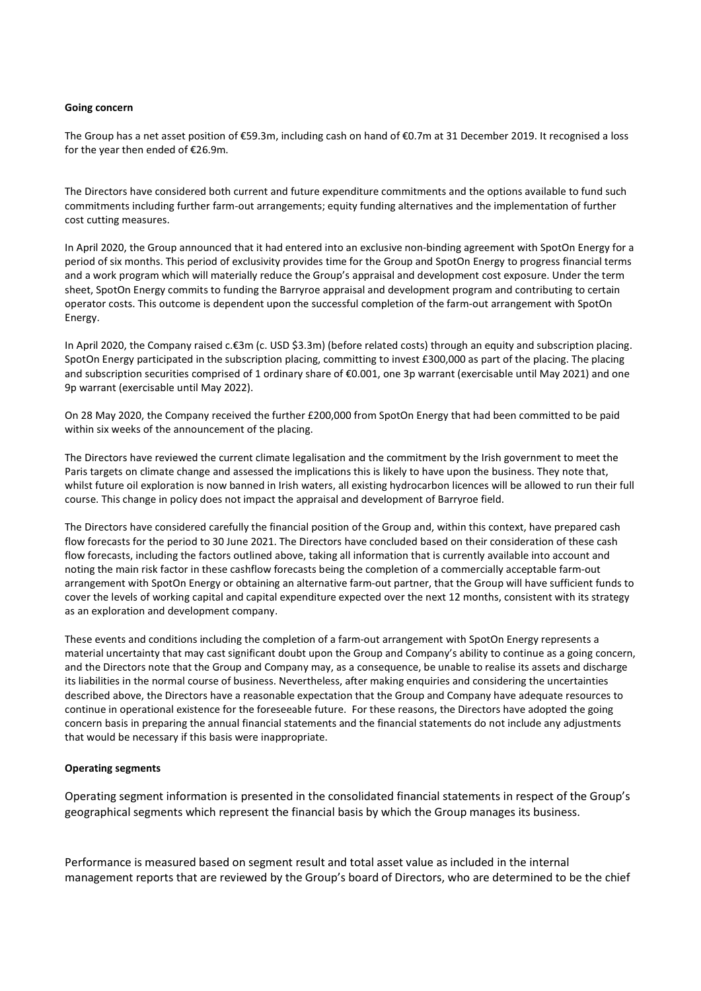#### Going concern

The Group has a net asset position of €59.3m, including cash on hand of €0.7m at 31 December 2019. It recognised a loss for the year then ended of €26.9m.

The Directors have considered both current and future expenditure commitments and the options available to fund such commitments including further farm-out arrangements; equity funding alternatives and the implementation of further cost cutting measures.

In April 2020, the Group announced that it had entered into an exclusive non-binding agreement with SpotOn Energy for a period of six months. This period of exclusivity provides time for the Group and SpotOn Energy to progress financial terms and a work program which will materially reduce the Group's appraisal and development cost exposure. Under the term sheet, SpotOn Energy commits to funding the Barryroe appraisal and development program and contributing to certain operator costs. This outcome is dependent upon the successful completion of the farm-out arrangement with SpotOn Energy.

In April 2020, the Company raised c.€3m (c. USD \$3.3m) (before related costs) through an equity and subscription placing. SpotOn Energy participated in the subscription placing, committing to invest £300,000 as part of the placing. The placing and subscription securities comprised of 1 ordinary share of €0.001, one 3p warrant (exercisable until May 2021) and one 9p warrant (exercisable until May 2022).

On 28 May 2020, the Company received the further £200,000 from SpotOn Energy that had been committed to be paid within six weeks of the announcement of the placing.

The Directors have reviewed the current climate legalisation and the commitment by the Irish government to meet the Paris targets on climate change and assessed the implications this is likely to have upon the business. They note that, whilst future oil exploration is now banned in Irish waters, all existing hydrocarbon licences will be allowed to run their full course. This change in policy does not impact the appraisal and development of Barryroe field.

The Directors have considered carefully the financial position of the Group and, within this context, have prepared cash flow forecasts for the period to 30 June 2021. The Directors have concluded based on their consideration of these cash flow forecasts, including the factors outlined above, taking all information that is currently available into account and noting the main risk factor in these cashflow forecasts being the completion of a commercially acceptable farm-out arrangement with SpotOn Energy or obtaining an alternative farm-out partner, that the Group will have sufficient funds to cover the levels of working capital and capital expenditure expected over the next 12 months, consistent with its strategy as an exploration and development company.

These events and conditions including the completion of a farm-out arrangement with SpotOn Energy represents a material uncertainty that may cast significant doubt upon the Group and Company's ability to continue as a going concern, and the Directors note that the Group and Company may, as a consequence, be unable to realise its assets and discharge its liabilities in the normal course of business. Nevertheless, after making enquiries and considering the uncertainties described above, the Directors have a reasonable expectation that the Group and Company have adequate resources to continue in operational existence for the foreseeable future. For these reasons, the Directors have adopted the going concern basis in preparing the annual financial statements and the financial statements do not include any adjustments that would be necessary if this basis were inappropriate.

#### Operating segments

Operating segment information is presented in the consolidated financial statements in respect of the Group's geographical segments which represent the financial basis by which the Group manages its business.

Performance is measured based on segment result and total asset value as included in the internal management reports that are reviewed by the Group's board of Directors, who are determined to be the chief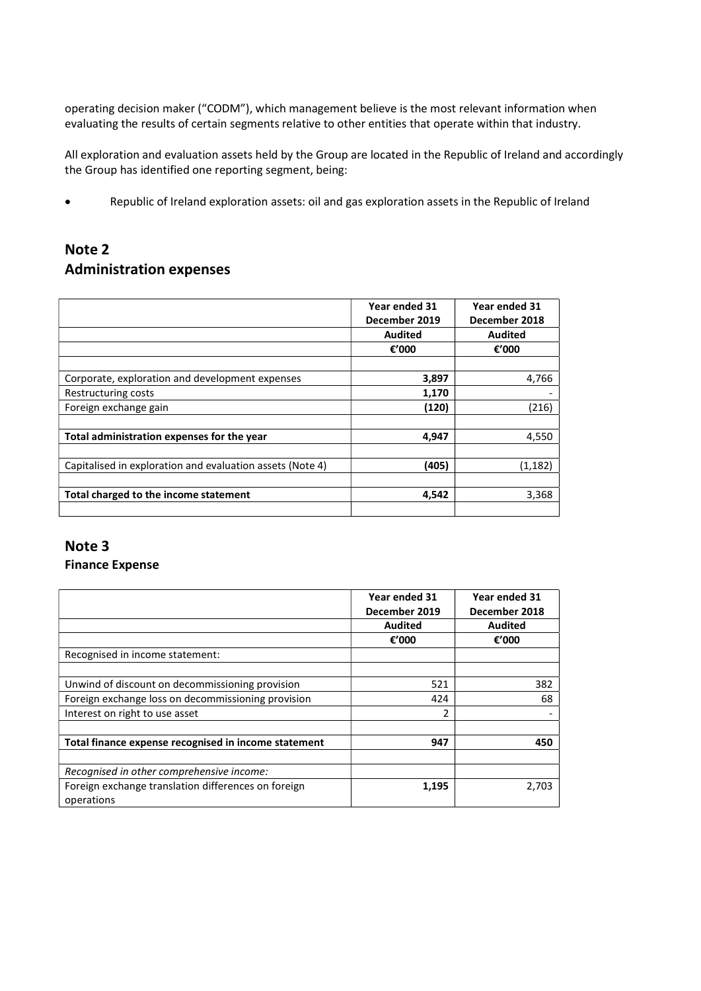operating decision maker ("CODM"), which management believe is the most relevant information when evaluating the results of certain segments relative to other entities that operate within that industry.

All exploration and evaluation assets held by the Group are located in the Republic of Ireland and accordingly the Group has identified one reporting segment, being:

Republic of Ireland exploration assets: oil and gas exploration assets in the Republic of Ireland

# Note 2 Administration expenses

|                                                           | Year ended 31<br>December 2019 | Year ended 31<br>December 2018 |
|-----------------------------------------------------------|--------------------------------|--------------------------------|
|                                                           | <b>Audited</b>                 | <b>Audited</b>                 |
|                                                           | €'000                          | €'000                          |
|                                                           |                                |                                |
| Corporate, exploration and development expenses           | 3,897                          | 4,766                          |
| Restructuring costs                                       | 1,170                          |                                |
| Foreign exchange gain                                     | (120)                          | (216)                          |
|                                                           |                                |                                |
| Total administration expenses for the year                | 4.947                          | 4,550                          |
|                                                           |                                |                                |
| Capitalised in exploration and evaluation assets (Note 4) | (405)                          | (1,182)                        |
|                                                           |                                |                                |
| Total charged to the income statement                     | 4,542                          | 3,368                          |
|                                                           |                                |                                |

# Note 3 Finance Expense

|                                                      | Year ended 31<br>December 2019 | Year ended 31<br>December 2018 |
|------------------------------------------------------|--------------------------------|--------------------------------|
|                                                      | <b>Audited</b>                 | <b>Audited</b>                 |
|                                                      | €'000                          | €'000                          |
| Recognised in income statement:                      |                                |                                |
|                                                      |                                |                                |
| Unwind of discount on decommissioning provision      | 521                            | 382                            |
| Foreign exchange loss on decommissioning provision   | 424                            | 68                             |
| Interest on right to use asset                       | 2                              |                                |
|                                                      |                                |                                |
| Total finance expense recognised in income statement | 947                            | 450                            |
|                                                      |                                |                                |
| Recognised in other comprehensive income:            |                                |                                |
| Foreign exchange translation differences on foreign  | 1,195                          | 2.703                          |
| operations                                           |                                |                                |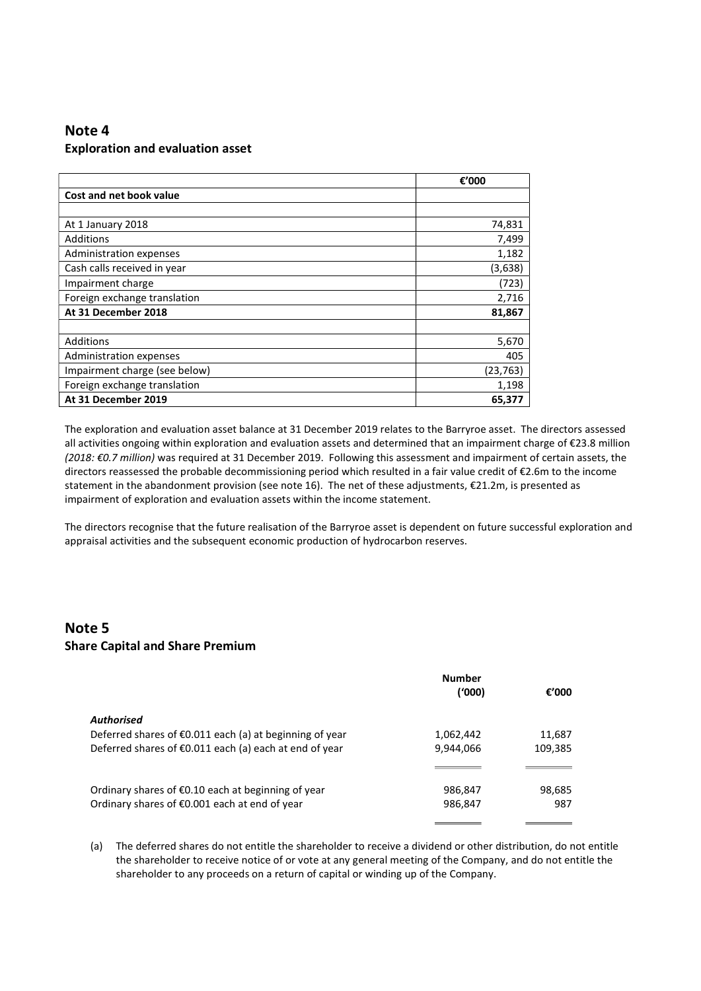# Note 4 Exploration and evaluation asset

|                               | €'000     |
|-------------------------------|-----------|
| Cost and net book value       |           |
|                               |           |
| At 1 January 2018             | 74,831    |
| Additions                     | 7,499     |
| Administration expenses       | 1,182     |
| Cash calls received in year   | (3,638)   |
| Impairment charge             | (723)     |
| Foreign exchange translation  | 2,716     |
| At 31 December 2018           | 81,867    |
|                               |           |
| Additions                     | 5,670     |
| Administration expenses       | 405       |
| Impairment charge (see below) | (23, 763) |
| Foreign exchange translation  | 1,198     |
| At 31 December 2019           | 65,377    |

The exploration and evaluation asset balance at 31 December 2019 relates to the Barryroe asset. The directors assessed all activities ongoing within exploration and evaluation assets and determined that an impairment charge of €23.8 million (2018: €0.7 million) was required at 31 December 2019. Following this assessment and impairment of certain assets, the directors reassessed the probable decommissioning period which resulted in a fair value credit of €2.6m to the income statement in the abandonment provision (see note 16). The net of these adjustments, €21.2m, is presented as impairment of exploration and evaluation assets within the income statement.

The directors recognise that the future realisation of the Barryroe asset is dependent on future successful exploration and appraisal activities and the subsequent economic production of hydrocarbon reserves.

## Note 5 Share Capital and Share Premium

|                                                                   | <b>Number</b> |         |
|-------------------------------------------------------------------|---------------|---------|
|                                                                   | ('000)        | €'000   |
| <b>Authorised</b>                                                 |               |         |
| Deferred shares of $\epsilon$ 0.011 each (a) at beginning of year | 1,062,442     | 11,687  |
| Deferred shares of €0.011 each (a) each at end of year            | 9,944,066     | 109,385 |
|                                                                   |               |         |
| Ordinary shares of $\epsilon$ 0.10 each at beginning of year      | 986,847       | 98,685  |
| Ordinary shares of €0.001 each at end of year                     | 986,847       | 987     |
|                                                                   |               |         |

(a) The deferred shares do not entitle the shareholder to receive a dividend or other distribution, do not entitle the shareholder to receive notice of or vote at any general meeting of the Company, and do not entitle the shareholder to any proceeds on a return of capital or winding up of the Company.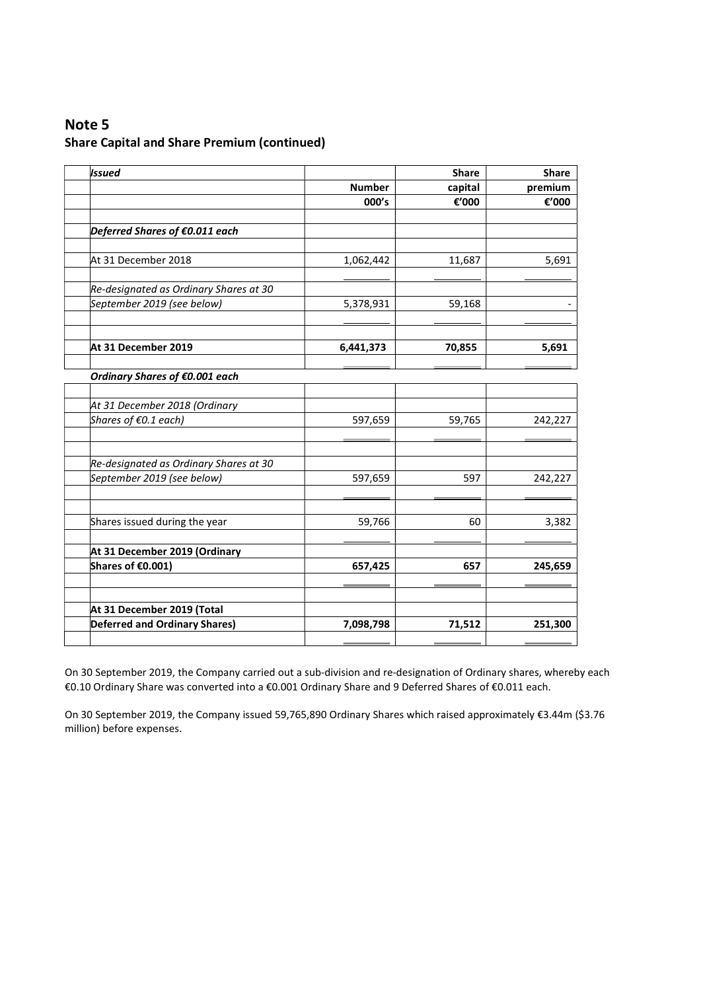# Note 5

### Share Capital and Share Premium (continued)

| <b>Issued</b>                          |               | <b>Share</b> | <b>Share</b><br>premium |
|----------------------------------------|---------------|--------------|-------------------------|
|                                        | <b>Number</b> | capital      |                         |
|                                        | 000's         | €'000        | €'000                   |
| Deferred Shares of €0.011 each         |               |              |                         |
| At 31 December 2018                    | 1,062,442     | 11,687       | 5,691                   |
| Re-designated as Ordinary Shares at 30 |               |              |                         |
| September 2019 (see below)             | 5,378,931     | 59,168       |                         |
| At 31 December 2019                    | 6,441,373     | 70,855       | 5,691                   |
| Ordinary Shares of €0.001 each         |               |              |                         |
|                                        |               |              |                         |
| At 31 December 2018 (Ordinary          |               |              |                         |
| Shares of €0.1 each)                   | 597,659       | 59,765       | 242,227                 |
| Re-designated as Ordinary Shares at 30 |               |              |                         |
| September 2019 (see below)             | 597,659       | 597          | 242,227                 |
|                                        |               |              |                         |
| Shares issued during the year          | 59,766        | 60           | 3,382                   |
| At 31 December 2019 (Ordinary          |               |              |                         |
| Shares of €0.001)                      | 657,425       | 657          | 245,659                 |
| At 31 December 2019 (Total             |               |              |                         |
| <b>Deferred and Ordinary Shares)</b>   | 7,098,798     | 71,512       | 251,300                 |

On 30 September 2019, the Company carried out a sub-division and re-designation of Ordinary shares, whereby each €0.10 Ordinary Share was converted into a €0.001 Ordinary Share and 9 Deferred Shares of €0.011 each.

On 30 September 2019, the Company issued 59,765,890 Ordinary Shares which raised approximately €3.44m (\$3.76 million) before expenses.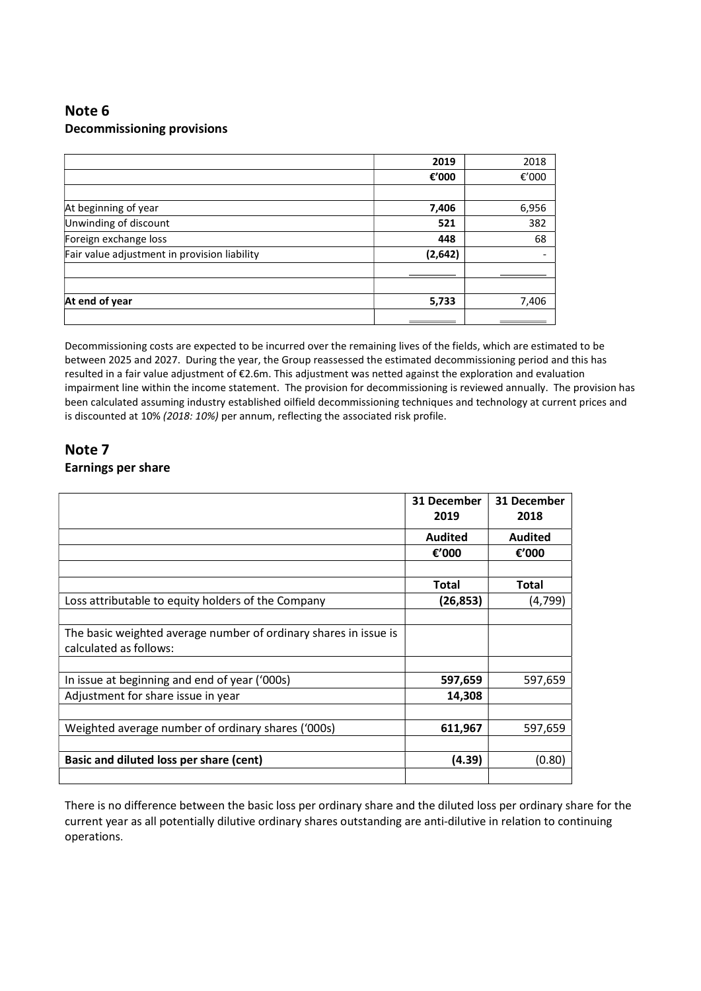# Note 6 Decommissioning provisions

|                                              | 2019     | 2018  |
|----------------------------------------------|----------|-------|
|                                              | €'000    | €'000 |
|                                              |          |       |
| At beginning of year                         | 7,406    | 6,956 |
| Unwinding of discount                        | 521      | 382   |
| Foreign exchange loss                        | 448      | 68    |
| Fair value adjustment in provision liability | (2, 642) |       |
|                                              |          |       |
|                                              |          |       |
| At end of year                               | 5,733    | 7,406 |
|                                              |          |       |

Decommissioning costs are expected to be incurred over the remaining lives of the fields, which are estimated to be between 2025 and 2027. During the year, the Group reassessed the estimated decommissioning period and this has resulted in a fair value adjustment of €2.6m. This adjustment was netted against the exploration and evaluation impairment line within the income statement. The provision for decommissioning is reviewed annually. The provision has been calculated assuming industry established oilfield decommissioning techniques and technology at current prices and is discounted at 10% (2018: 10%) per annum, reflecting the associated risk profile.

## Note 7 Earnings per share

|                                                                                            | 31 December<br>2019 | 31 December<br>2018 |
|--------------------------------------------------------------------------------------------|---------------------|---------------------|
|                                                                                            | <b>Audited</b>      | Audited             |
|                                                                                            | €'000               | €'000               |
|                                                                                            |                     |                     |
|                                                                                            | Total               | Total               |
| Loss attributable to equity holders of the Company                                         | (26, 853)           | (4,799)             |
|                                                                                            |                     |                     |
| The basic weighted average number of ordinary shares in issue is<br>calculated as follows: |                     |                     |
|                                                                                            |                     |                     |
| In issue at beginning and end of year ('000s)                                              | 597,659             | 597,659             |
| Adjustment for share issue in year                                                         | 14,308              |                     |
|                                                                                            |                     |                     |
| Weighted average number of ordinary shares ('000s)                                         | 611,967             | 597,659             |
|                                                                                            |                     |                     |
| Basic and diluted loss per share (cent)                                                    | (4.39)              | (0.80)              |
|                                                                                            |                     |                     |

There is no difference between the basic loss per ordinary share and the diluted loss per ordinary share for the current year as all potentially dilutive ordinary shares outstanding are anti-dilutive in relation to continuing operations.